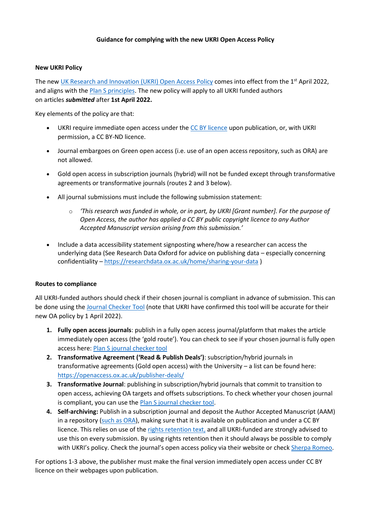# **New UKRI Policy**

The new [UK Research and Innovation \(UKRI\) Open Access Policy](https://www.ukri.org/publications/ukri-open-access-policy/) comes into effect from the 1<sup>st</sup> April 2022, and aligns with the [Plan S principles](https://www.coalition-s.org/plan_s_principles/). The new policy will apply to all UKRI funded authors on articles *submitted*after **1st April 2022.**

Key elements of the policy are that:

- UKRI require immediate open access under the [CC BY licence](https://creativecommons.org/licenses/by/4.0/) upon publication, or, with UKRI permission, a CC BY-ND licence.
- Journal embargoes on Green open access (i.e. use of an open access repository, such as ORA) are not allowed.
- Gold open access in subscription journals (hybrid) will not be funded except through transformative agreements or transformative journals (routes 2 and 3 below).
- All journal submissions must include the following submission statement:
	- o *'This research was funded in whole, or in part, by UKRI [Grant number]. For the purpose of Open Access, the author has applied a CC BY public copyright licence to any Author Accepted Manuscript version arising from this submission.'*
- Include a data [accessibility](http://openaccess.ox.ac.uk/templates/) statement signposting where/how a researcher can access the underlying data (See Research Data Oxford for advice on publishing data – especially concerning confidentiality – <https://researchdata.ox.ac.uk/home/sharing-your-data> )

## **Routes to compliance**

All UKRI-funded authors should check if their chosen journal is compliant in advance of submission. This can be done using the [Journal Checker Tool](https://journalcheckertool.org/) (note that UKRI have confirmed this tool will be accurate for their new OA policy by 1 April 2022).

- **1. Fully open access journals**: publish in a fully open access journal/platform that makes the article immediately open access (the 'gold route'). You can check to see if your chosen journal is fully open access here: [Plan S journal checker tool](https://journalcheckertool.org/)
- **2. Transformative Agreement ('Read & Publish Deals')**: subscription/hybrid journals in transformative agreements (Gold open access) with the University – a list can be found here: <https://openaccess.ox.ac.uk/publisher-deals/>
- **3. Transformative Journal**: publishing in subscription/hybrid journals that commit to transition to open access, achieving OA targets and offsets subscriptions. To check whether your chosen journal is compliant, you can use th[e Plan S journal checker tool.](https://journalcheckertool.org/)
- **4. Self-archiving:** Publish in a subscription journal and deposit the Author Accepted Manuscript (AAM) in a repository [\(such as ORA\)](https://ora.ox.ac.uk/), making sure that it is available on publication and under a CC BY licence. This relies on use of the [rights retention text,](https://openaccess.ox.ac.uk/rights-retention/) and all UKRI-funded are strongly advised to use this on every submission. By using rights retention then it should always be possible to comply with UKRI's policy. Check the journal's open access policy via their website or check [Sherpa Romeo.](https://v2.sherpa.ac.uk/romeo/)

For options 1-3 above, the publisher must make the final version immediately open access under CC BY licence on their webpages upon publication.